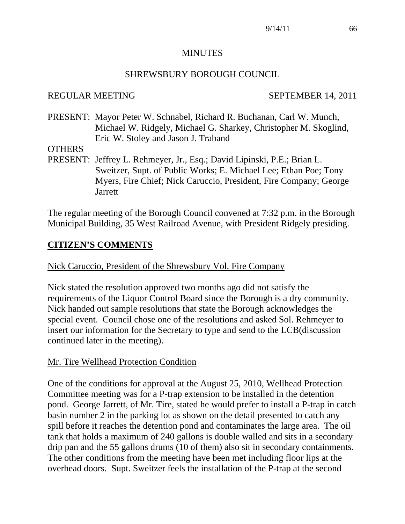#### **MINUTES**

#### SHREWSBURY BOROUGH COUNCIL

#### REGULAR MEETING SEPTEMBER 14, 2011

PRESENT: Mayor Peter W. Schnabel, Richard R. Buchanan, Carl W. Munch, Michael W. Ridgely, Michael G. Sharkey, Christopher M. Skoglind, Eric W. Stoley and Jason J. Traband

#### **OTHERS**

PRESENT: Jeffrey L. Rehmeyer, Jr., Esq.; David Lipinski, P.E.; Brian L. Sweitzer, Supt. of Public Works; E. Michael Lee; Ethan Poe; Tony Myers, Fire Chief; Nick Caruccio, President, Fire Company; George **Jarrett** 

The regular meeting of the Borough Council convened at 7:32 p.m. in the Borough Municipal Building, 35 West Railroad Avenue, with President Ridgely presiding.

## **CITIZEN'S COMMENTS**

#### Nick Caruccio, President of the Shrewsbury Vol. Fire Company

Nick stated the resolution approved two months ago did not satisfy the requirements of the Liquor Control Board since the Borough is a dry community. Nick handed out sample resolutions that state the Borough acknowledges the special event. Council chose one of the resolutions and asked Sol. Rehmeyer to insert our information for the Secretary to type and send to the LCB(discussion continued later in the meeting).

#### Mr. Tire Wellhead Protection Condition

One of the conditions for approval at the August 25, 2010, Wellhead Protection Committee meeting was for a P-trap extension to be installed in the detention pond. George Jarrett, of Mr. Tire, stated he would prefer to install a P-trap in catch basin number 2 in the parking lot as shown on the detail presented to catch any spill before it reaches the detention pond and contaminates the large area. The oil tank that holds a maximum of 240 gallons is double walled and sits in a secondary drip pan and the 55 gallons drums (10 of them) also sit in secondary containments. The other conditions from the meeting have been met including floor lips at the overhead doors. Supt. Sweitzer feels the installation of the P-trap at the second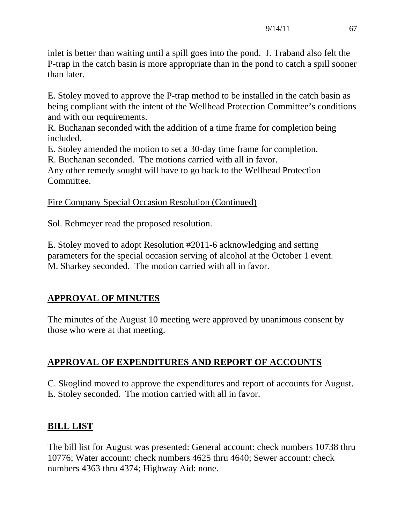inlet is better than waiting until a spill goes into the pond. J. Traband also felt the P-trap in the catch basin is more appropriate than in the pond to catch a spill sooner than later.

E. Stoley moved to approve the P-trap method to be installed in the catch basin as being compliant with the intent of the Wellhead Protection Committee's conditions and with our requirements.

R. Buchanan seconded with the addition of a time frame for completion being included.

E. Stoley amended the motion to set a 30-day time frame for completion.

R. Buchanan seconded. The motions carried with all in favor.

Any other remedy sought will have to go back to the Wellhead Protection Committee.

Fire Company Special Occasion Resolution (Continued)

Sol. Rehmeyer read the proposed resolution.

E. Stoley moved to adopt Resolution #2011-6 acknowledging and setting parameters for the special occasion serving of alcohol at the October 1 event. M. Sharkey seconded. The motion carried with all in favor.

# **APPROVAL OF MINUTES**

The minutes of the August 10 meeting were approved by unanimous consent by those who were at that meeting.

# **APPROVAL OF EXPENDITURES AND REPORT OF ACCOUNTS**

C. Skoglind moved to approve the expenditures and report of accounts for August. E. Stoley seconded. The motion carried with all in favor.

## **BILL LIST**

The bill list for August was presented: General account: check numbers 10738 thru 10776; Water account: check numbers 4625 thru 4640; Sewer account: check numbers 4363 thru 4374; Highway Aid: none.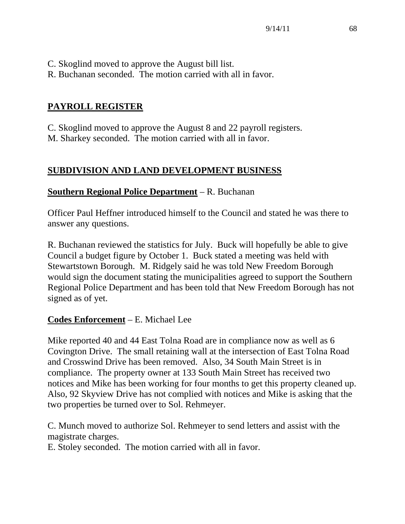- C. Skoglind moved to approve the August bill list.
- R. Buchanan seconded. The motion carried with all in favor.

## **PAYROLL REGISTER**

C. Skoglind moved to approve the August 8 and 22 payroll registers. M. Sharkey seconded. The motion carried with all in favor.

## **SUBDIVISION AND LAND DEVELOPMENT BUSINESS**

#### **Southern Regional Police Department** – R. Buchanan

Officer Paul Heffner introduced himself to the Council and stated he was there to answer any questions.

R. Buchanan reviewed the statistics for July. Buck will hopefully be able to give Council a budget figure by October 1. Buck stated a meeting was held with Stewartstown Borough. M. Ridgely said he was told New Freedom Borough would sign the document stating the municipalities agreed to support the Southern Regional Police Department and has been told that New Freedom Borough has not signed as of yet.

## **Codes Enforcement** – E. Michael Lee

Mike reported 40 and 44 East Tolna Road are in compliance now as well as 6 Covington Drive. The small retaining wall at the intersection of East Tolna Road and Crosswind Drive has been removed. Also, 34 South Main Street is in compliance. The property owner at 133 South Main Street has received two notices and Mike has been working for four months to get this property cleaned up. Also, 92 Skyview Drive has not complied with notices and Mike is asking that the two properties be turned over to Sol. Rehmeyer.

C. Munch moved to authorize Sol. Rehmeyer to send letters and assist with the magistrate charges.

E. Stoley seconded. The motion carried with all in favor.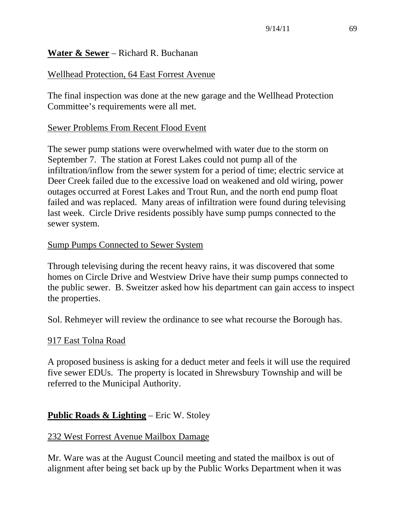#### **Water & Sewer** – Richard R. Buchanan

## Wellhead Protection, 64 East Forrest Avenue

The final inspection was done at the new garage and the Wellhead Protection Committee's requirements were all met.

#### Sewer Problems From Recent Flood Event

The sewer pump stations were overwhelmed with water due to the storm on September 7. The station at Forest Lakes could not pump all of the infiltration/inflow from the sewer system for a period of time; electric service at Deer Creek failed due to the excessive load on weakened and old wiring, power outages occurred at Forest Lakes and Trout Run, and the north end pump float failed and was replaced. Many areas of infiltration were found during televising last week. Circle Drive residents possibly have sump pumps connected to the sewer system.

#### Sump Pumps Connected to Sewer System

Through televising during the recent heavy rains, it was discovered that some homes on Circle Drive and Westview Drive have their sump pumps connected to the public sewer. B. Sweitzer asked how his department can gain access to inspect the properties.

Sol. Rehmeyer will review the ordinance to see what recourse the Borough has.

#### 917 East Tolna Road

A proposed business is asking for a deduct meter and feels it will use the required five sewer EDUs. The property is located in Shrewsbury Township and will be referred to the Municipal Authority.

## **Public Roads & Lighting** – Eric W. Stoley

#### 232 West Forrest Avenue Mailbox Damage

Mr. Ware was at the August Council meeting and stated the mailbox is out of alignment after being set back up by the Public Works Department when it was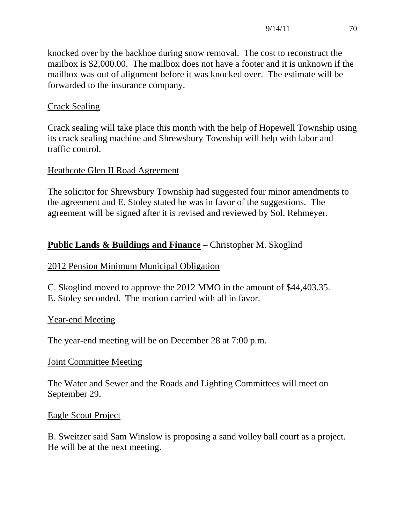knocked over by the backhoe during snow removal. The cost to reconstruct the mailbox is \$2,000.00. The mailbox does not have a footer and it is unknown if the mailbox was out of alignment before it was knocked over. The estimate will be forwarded to the insurance company.

## Crack Sealing

Crack sealing will take place this month with the help of Hopewell Township using its crack sealing machine and Shrewsbury Township will help with labor and traffic control.

## Heathcote Glen II Road Agreement

The solicitor for Shrewsbury Township had suggested four minor amendments to the agreement and E. Stoley stated he was in favor of the suggestions. The agreement will be signed after it is revised and reviewed by Sol. Rehmeyer.

## **Public Lands & Buildings and Finance** – Christopher M. Skoglind

## 2012 Pension Minimum Municipal Obligation

C. Skoglind moved to approve the 2012 MMO in the amount of \$44,403.35. E. Stoley seconded. The motion carried with all in favor.

## Year-end Meeting

The year-end meeting will be on December 28 at 7:00 p.m.

## Joint Committee Meeting

The Water and Sewer and the Roads and Lighting Committees will meet on September 29.

## Eagle Scout Project

B. Sweitzer said Sam Winslow is proposing a sand volley ball court as a project. He will be at the next meeting.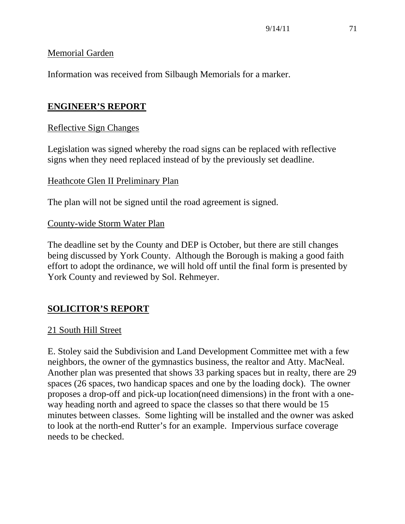#### Memorial Garden

Information was received from Silbaugh Memorials for a marker.

## **ENGINEER'S REPORT**

## Reflective Sign Changes

Legislation was signed whereby the road signs can be replaced with reflective signs when they need replaced instead of by the previously set deadline.

## Heathcote Glen II Preliminary Plan

The plan will not be signed until the road agreement is signed.

#### County-wide Storm Water Plan

The deadline set by the County and DEP is October, but there are still changes being discussed by York County. Although the Borough is making a good faith effort to adopt the ordinance, we will hold off until the final form is presented by York County and reviewed by Sol. Rehmeyer.

## **SOLICITOR'S REPORT**

#### 21 South Hill Street

E. Stoley said the Subdivision and Land Development Committee met with a few neighbors, the owner of the gymnastics business, the realtor and Atty. MacNeal. Another plan was presented that shows 33 parking spaces but in realty, there are 29 spaces (26 spaces, two handicap spaces and one by the loading dock). The owner proposes a drop-off and pick-up location(need dimensions) in the front with a oneway heading north and agreed to space the classes so that there would be 15 minutes between classes. Some lighting will be installed and the owner was asked to look at the north-end Rutter's for an example. Impervious surface coverage needs to be checked.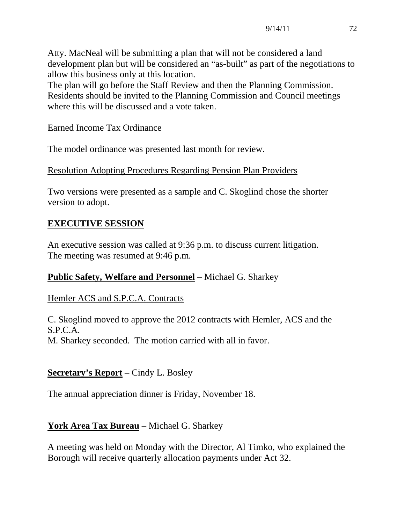Atty. MacNeal will be submitting a plan that will not be considered a land development plan but will be considered an "as-built" as part of the negotiations to allow this business only at this location.

The plan will go before the Staff Review and then the Planning Commission. Residents should be invited to the Planning Commission and Council meetings where this will be discussed and a vote taken.

## Earned Income Tax Ordinance

The model ordinance was presented last month for review.

## Resolution Adopting Procedures Regarding Pension Plan Providers

Two versions were presented as a sample and C. Skoglind chose the shorter version to adopt.

## **EXECUTIVE SESSION**

An executive session was called at 9:36 p.m. to discuss current litigation. The meeting was resumed at 9:46 p.m.

#### **Public Safety, Welfare and Personnel** – Michael G. Sharkey

#### Hemler ACS and S.P.C.A. Contracts

C. Skoglind moved to approve the 2012 contracts with Hemler, ACS and the S.P.C.A. M. Sharkey seconded. The motion carried with all in favor.

## **Secretary's Report** – Cindy L. Bosley

The annual appreciation dinner is Friday, November 18.

## **York Area Tax Bureau** – Michael G. Sharkey

A meeting was held on Monday with the Director, Al Timko, who explained the Borough will receive quarterly allocation payments under Act 32.